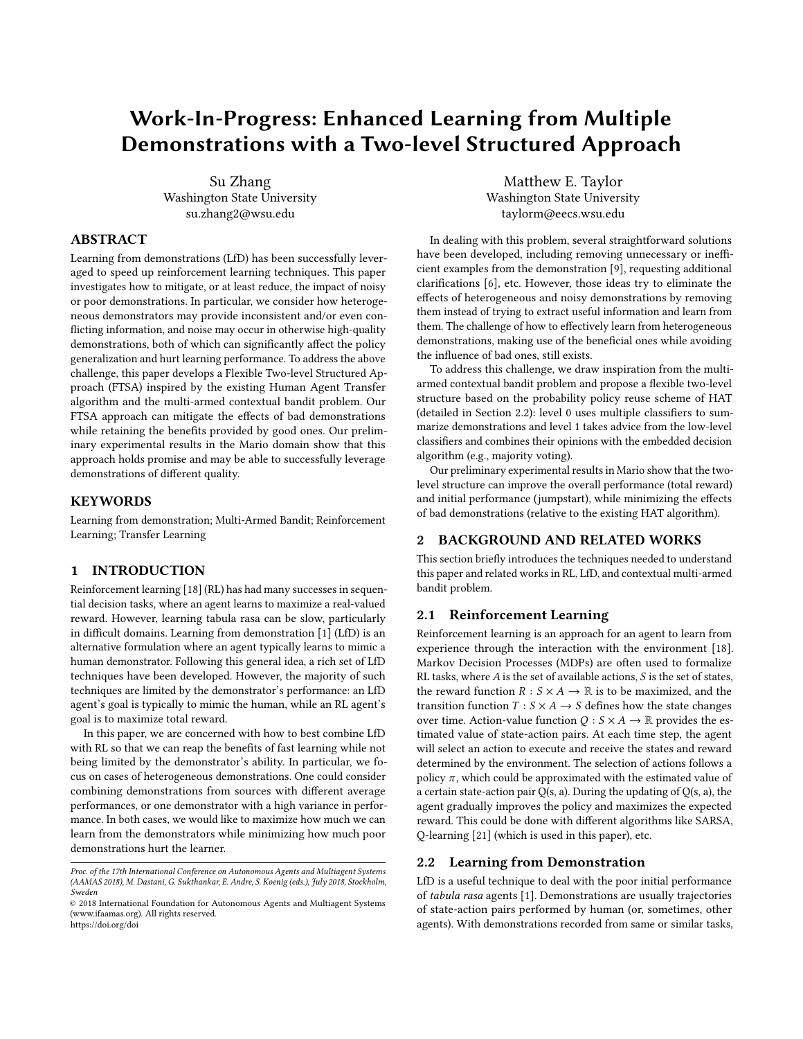# Work-In-Progress: Enhanced Learning from Multiple Demonstrations with a Two-level Structured Approach

Su Zhang Washington State University su.zhang2@wsu.edu

### ABSTRACT

Learning from demonstrations (LfD) has been successfully leveraged to speed up reinforcement learning techniques. This paper investigates how to mitigate, or at least reduce, the impact of noisy or poor demonstrations. In particular, we consider how heterogeneous demonstrators may provide inconsistent and/or even conflicting information, and noise may occur in otherwise high-quality demonstrations, both of which can significantly affect the policy generalization and hurt learning performance. To address the above challenge, this paper develops a Flexible Two-level Structured Approach (FTSA) inspired by the existing Human Agent Transfer algorithm and the multi-armed contextual bandit problem. Our FTSA approach can mitigate the effects of bad demonstrations while retaining the benefits provided by good ones. Our preliminary experimental results in the Mario domain show that this approach holds promise and may be able to successfully leverage demonstrations of different quality.

### **KEYWORDS**

Learning from demonstration; Multi-Armed Bandit; Reinforcement Learning; Transfer Learning

### 1 INTRODUCTION

Reinforcement learning [\[18\]](#page-4-0) (RL) has had many successes in sequential decision tasks, where an agent learns to maximize a real-valued reward. However, learning tabula rasa can be slow, particularly in difficult domains. Learning from demonstration [\[1\]](#page-4-1) (LfD) is an alternative formulation where an agent typically learns to mimic a human demonstrator. Following this general idea, a rich set of LfD techniques have been developed. However, the majority of such techniques are limited by the demonstrator's performance: an LfD agent's goal is typically to mimic the human, while an RL agent's goal is to maximize total reward.

In this paper, we are concerned with how to best combine LfD with RL so that we can reap the benefits of fast learning while not being limited by the demonstrator's ability. In particular, we focus on cases of heterogeneous demonstrations. One could consider combining demonstrations from sources with different average performances, or one demonstrator with a high variance in performance. In both cases, we would like to maximize how much we can learn from the demonstrators while minimizing how much poor demonstrations hurt the learner.

Matthew E. Taylor Washington State University taylorm@eecs.wsu.edu

In dealing with this problem, several straightforward solutions have been developed, including removing unnecessary or inefficient examples from the demonstration [\[9\]](#page-4-2), requesting additional clarifications [\[6\]](#page-4-3), etc. However, those ideas try to eliminate the effects of heterogeneous and noisy demonstrations by removing them instead of trying to extract useful information and learn from them. The challenge of how to effectively learn from heterogeneous demonstrations, making use of the beneficial ones while avoiding the influence of bad ones, still exists.

To address this challenge, we draw inspiration from the multiarmed contextual bandit problem and propose a flexible two-level structure based on the probability policy reuse scheme of HAT (detailed in Section [2.2\)](#page-0-0): level 0 uses multiple classifiers to summarize demonstrations and level 1 takes advice from the low-level classifiers and combines their opinions with the embedded decision algorithm (e.g., majority voting).

Our preliminary experimental results in Mario show that the twolevel structure can improve the overall performance (total reward) and initial performance (jumpstart), while minimizing the effects of bad demonstrations (relative to the existing HAT algorithm).

### 2 BACKGROUND AND RELATED WORKS

This section briefly introduces the techniques needed to understand this paper and related works in RL, LfD, and contextual multi-armed bandit problem.

### 2.1 Reinforcement Learning

Reinforcement learning is an approach for an agent to learn from experience through the interaction with the environment [\[18\]](#page-4-0). Markov Decision Processes (MDPs) are often used to formalize RL tasks, where  $A$  is the set of available actions,  $S$  is the set of states, the reward function  $R : S \times A \rightarrow \mathbb{R}$  is to be maximized, and the transition function  $T : S \times A \rightarrow S$  defines how the state changes over time. Action-value function  $Q : S \times A \rightarrow \mathbb{R}$  provides the estimated value of state-action pairs. At each time step, the agent will select an action to execute and receive the states and reward determined by the environment. The selection of actions follows a policy  $\pi$ , which could be approximated with the estimated value of a certain state-action pair  $Q(s, a)$ . During the updating of  $Q(s, a)$ , the agent gradually improves the policy and maximizes the expected reward. This could be done with different algorithms like SARSA, Q-learning [\[21\]](#page-4-4) (which is used in this paper), etc.

### <span id="page-0-0"></span>2.2 Learning from Demonstration

LfD is a useful technique to deal with the poor initial performance of tabula rasa agents [\[1\]](#page-4-1). Demonstrations are usually trajectories of state-action pairs performed by human (or, sometimes, other agents). With demonstrations recorded from same or similar tasks,

Proc. of the 17th International Conference on Autonomous Agents and Multiagent Systems (AAMAS 2018), M. Dastani, G. Sukthankar, E. Andre, S. Koenig (eds.), July 2018, Stockholm, Sweden

<sup>©</sup> 2018 International Foundation for Autonomous Agents and Multiagent Systems (www.ifaamas.org). All rights reserved. <https://doi.org/doi>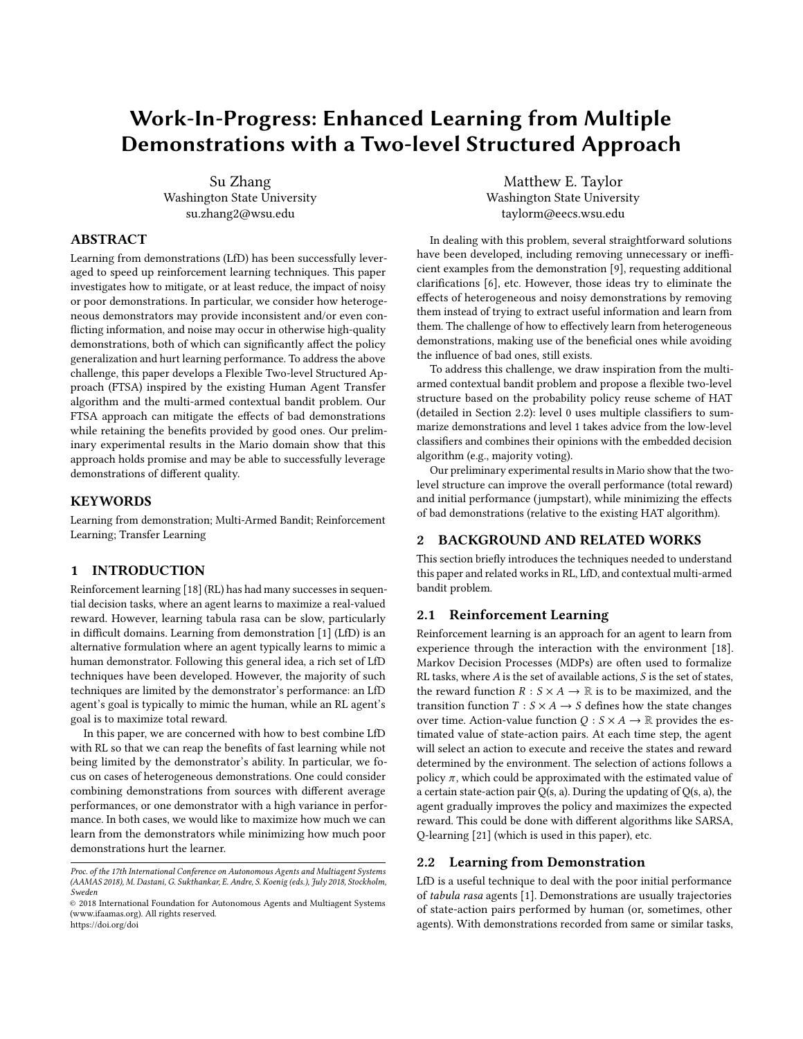AAMAS'18, July 2018, Stockholm, Sweden Su Zhang and Matthew E. Taylor

the agent could transfer the learned feature of neural networks [\[22\]](#page-4-5), learn heuristics for reward shaping [\[4\]](#page-4-6), construct skill trees with experience replay [\[12\]](#page-4-7), etc.

Among those related works, the Human Agent Transfer [\[20\]](#page-4-8) (HAT) algorithm first summarizes the policies with a rule-based learner (e.g., a Decision Tree) then uses the rule transfer [\[19\]](#page-4-9) technique of transfer learning in a probabilistic policy reuse [\[8\]](#page-4-10) (PPR) manner, to speed up and improve the performance of the RL agent. This paper also adopts the PPR technique, while focusing on making use of multiple demonstrations regardless of their qualities.

There are also works that follow the Reinforcement Learning with Expert Demonstrations (RLED) framework, which try to extract optimal policies by directly applying iterations on the demonstration data [\[5,](#page-4-11) [11,](#page-4-12) [16\]](#page-4-13), identify relevant task features through demonstrations and apply RL with the abstract state space [\[7\]](#page-4-14), etc. Different from those solutions, our approach focuses on guiding the learning process using policies generalized from demonstrations instead of explicitly using the demonstration examples as an additional source for updating value estimates.

### 2.3 Learning from Multiple Experts

Online learning with expert advice could be viewed as contextual multi-armed bandit problem [\[14\]](#page-4-15), where the goal of the agent is to compete against the best expert (that has the highest expected reward). At each time step, an expert will generate advice about the arm selection based on the current context, and the agent will build a strategy of pulling the arm, considering all the given advice, and dynamically update its belief of each expert [\[23\]](#page-4-16). The most relevant work is the Exponential-weight Algorithm for Exploration and Exploitation using Expert advice (EXP4) algorithm [\[2\]](#page-4-17), and similar ideas are also adopted in this paper. Additionally, such modeling could be applied to applications like recommendation [\[13\]](#page-4-18), selecting state machine policies for robotic systems [\[15\]](#page-4-19), etc.

## 3 A FLEXIBLE TWO-LEVEL STRUCTURED APPROACH TO LEARNING FROM MULTIPLE DEMONSTRATIONS

In this section, we propose a Flexible Two-level Structured Approach (FTSA) to address the problem of combining multiple demonstrations. This approach integrates the multi-armed bandit approach with the probability policy reuse scheme of HAT and allows the agent to take advantage of multiple demonstrations regardless of their quality.

### 3.1 Problem Statement

We formalize the problem of learning from multiple demonstrations as a contextual multi-armed bandit problem with following notation:

- $K$  number of actions
- N number of classifiers/experts/oracles, where each is trained on a demonstration
- *D* demonstration data set, each  $d_i$  is a recording of an episode,<br>and contains state/action pairs and contains state/action pairs
- $\bullet$  *t* time step, where the agent will select actions and execute at each t
- ξ policy advice vector:  $\xi_{t,j}^{l}$  is demonstrator *i*'s recommended<br>neglectivity of eleccing num (estion) is t num d t t, policy anside vector.  $s_{t,j}$  is demonstrator t s recording arm (action) j at round t<br>probability of choosing arm (action) j at round t
- $r$  reward vector with dimension of  $K$ , all the elements in r are zero, except the one corresponds to the selected arm (action)
- $x_t$  context vector, used by classifiers to generate advice, could be the state vector from task environment, etc.

Generally, each classifier is trained with a demonstration and at round t, classifier i will give its estimation of probability  $\xi_{t,j}^{i}$  of selecting action (arm) j based on the context vector  $x_t$ , the agent<br>will then decide to trust and follow a classifier's advice or not nick will then decide to trust and follow a classifier's advice or not, pick one action (arm), and continue the RL steps.<sup>[1](#page-1-0)</sup>

### 3.2 Method Description

The entire procedure is built on the framework of HAT, and the multi-armed bandit selection could be captured with this two-level structure:



Figure 1: Two-level Structure of bandit selection

With the HAT framework, the agent will adopt the advice from classifiers with a certain probability  $\phi$  (which decays over time). Each level-0 classifier is trained with one demonstration, $^2$  $^2$  and will generate advice vector according to different context vectors; level-1 could embed with any algorithms to combine all the advice from level-0 classifiers and provide the final suggestion for the agent to select. With this two-level structure, the agent could then make use of knowledge from multiple different demonstrations regardless of their quality. Various algorithms and schemes could be adopted into level-1 as the decision component. In this work, we pick majority voting, Exponential Weighted Algorithm (EWA), and a metaclassifier as examples to show how this approach works.

3.2.1 Majority Vote. When combining the advice with majority voting, the entire structure will become similar to the Bagging ensemble method [\[3\]](#page-4-20). The difference is that the training data are not generated with bootstrap sampling, but directly use the data from different demonstrators to build each base classifier. And this voting scheme may not be able to reduce the "variance," but only to combine multiple advice and get a final output suggestion. Since each classifier is treated equally, this method works well when the quality of most demonstrations are good or similar to each

<span id="page-1-0"></span><sup>&</sup>lt;sup>1</sup>It is possible the expected regret for each classifier could be defined and calculated, but we leave this to future work.

<span id="page-1-1"></span><sup>&</sup>lt;sup>2</sup>Future work will consider training each classifier per demonstrator.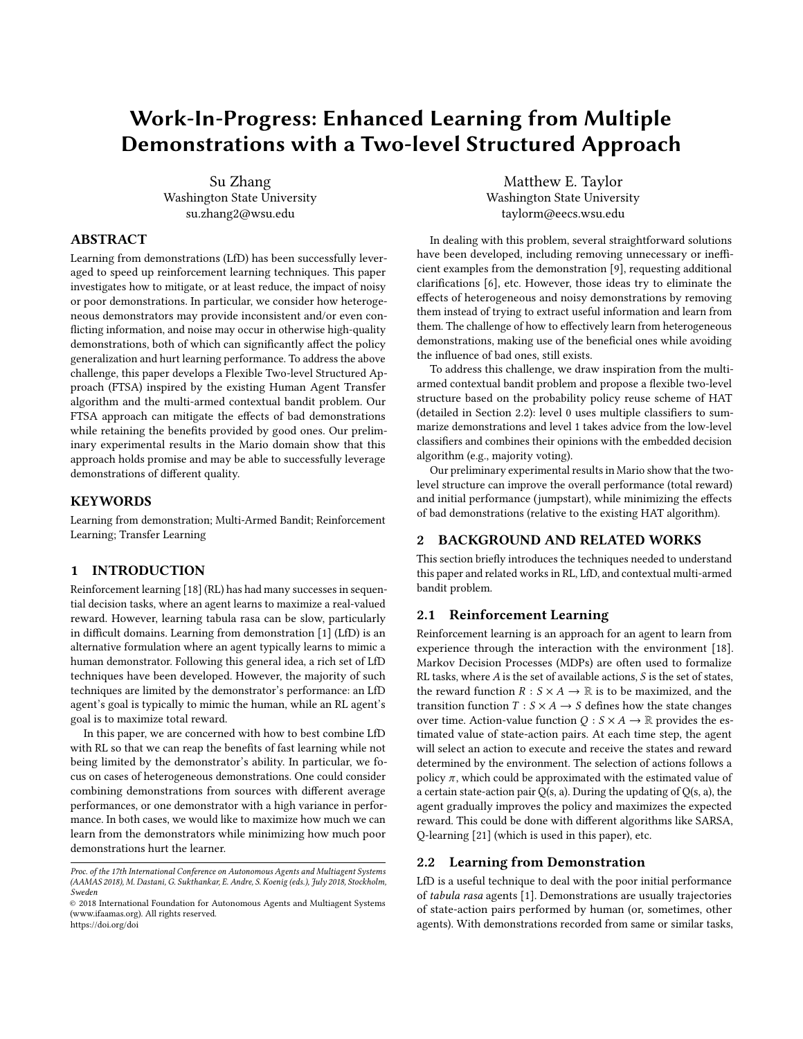Work-In-Progress: Enhanced LfD with a Two-level Structured Approach **AAMAS'18**, July 2018, Stockholm, Sweden

Algorithm 1: Flexible Two-level Structured Approach for LfD

**Input**: Demonstration data set  $D = \{d_0; d_1; \dots; d_n\}$ , reuse probability  $\Phi_0$ , decay rate  $\Phi_D$  $\Phi \leftarrow \Phi_0$ 2 **for** demonstration  $d_i \in D$  **do**<br>3 Train classifier  $c_i$  with  $d_i$ Train classifier  $c_i$  with  $d_i$  . Build level-0 classifiers <sup>4</sup> end <sup>5</sup> Initialize level-1 algorithms <sup>6</sup> . Update weights for each classifier, build a meta-classifier, etc. <sup>7</sup> for each episode do  $\begin{array}{c|c} \n\text{8} & \text{Initialize state } s_0 \\
\text{6} & \text{for step } t \text{ do}\n\end{array}$ for step t do 10 Get state vector  $s_t$ , reward  $r_t$ 11  $a \leftarrow \phi$ <br>12 if range 12 if  $rand() \leq \Phi$  then<br>
13 | Construct conte 13 Construct context vector  $x_t$  with  $s_t$ <br> **14** for each classifier c<sub>i</sub> do 14 **for each classifier c<sub>i</sub> do**<br>15 **for each classifier c<sub>i</sub> do** 15 Get  $\xi_t^i$  with  $x_t$ 16 **end**  $\begin{array}{c|c|c|c} \hline \text{17} & \text{18} & \text{19} \\ \text{18} & \text{19} & \text{19} \\ \hline \end{array}$  algorithms to select action *a* 18 . majority vote, value estimation, classification, etc.<br> **else** else 20 if  $rand() \leq \epsilon$  then<br>
21  $a \leftarrow$  random ac 21  $\begin{array}{|c|c|c|c|c|} \hline \end{array}$  a  $\leftarrow$  random action<br>22 **else** else 23 a  $\begin{array}{|c|c|c|c|}\n\hline\n & a \leftarrow argmax_{\partial} Q \\
\hline\n\text{Execute action } a\n\end{array}$  $\begin{array}{c|c} \text{24} \\ \text{25} \end{array}$  Execute action *a* Update Q-value (with SARSA, Q-Learning, etc.) 26  $\theta$   $\phi \leftarrow \Phi * \Phi_D$ <br>27 end end <sup>28</sup> end

other, as the advice from those few classifiers trained with bad demonstrations will be ignored.

3.2.2 Exponential Weighted Algorithm (EWA). When combining the advice with EWA, the structure will be similar to the EXP3 and EXP4 bandit algorithms. In contrast to EXP3 or EXP4, the exploration/exploitation balancing will not be handled by EWA itself, but by the HAT framework. A weight will be initialized equally and assigned to each classifier, and then the algorithm will exponentially decay the weights of classifiers based on their advice during iterations. The update of the weights could use the reward from the environment or other loss functions. In each round, the agent could estimate the reliability of each classifier based on the advice they give and choose which classifier to listen to. In this way, the EWA method could handle the blending of good and bad demonstrations.

3.2.3 Meta-Classifier. We could also build a meta-classifier on level-1 based on the advice of level-0, similar to the Stacking (stacked generalization) ensemble method. The difference is that the stacking method is built in a cross-validation manner, and here the level-1 classifier is trained with the same context of demonstration data but replaces the original label with predictions of level-0 classifiers. The level-1 classifier could use either the same base classification method as level-0 does, or different methods.

### 4 EVALUATION

This section discusses the empirical evaluation of the proposed methods.

### 4.1 Experimental Setting

Our approach is evaluated with the Mario simulator released by Karakovskiy [\[10\]](#page-4-21), based on the Nintendo's platform game Super Mario Bros. The agent is trained to get as high a score as possible. The state is composed of 27 state variables and includes both numeric and Boolean variables; there are  $3.65 \times 10^{10}$  different discrete states in total (although many are unreachable in practice). The agent can choose 12 different actions with the combinations of three sets: {left, right, no action}, {jump, do not jump}, {run, do not run}. The agent will receive +10 for jumping on an enemy, +58 for eating a mushroom, +64 for eating a fire-flower, +16 for collecting a coin, +24 for finding a hidden block, +1024 for clearing the level, -42 for getting hurt by an enemy, and -512 for dying [\[17\]](#page-4-22).

To investigate whether our approach could learn reasonable performance with multiple demonstrations, we conduct experiments with 10 good demonstrations (23,259 state/action example pairs in total), 10 good demonstrations and 20 bad demonstrations (48,852 examples in total), and 20 bad demonstrations (25,594 examples in total).[3](#page-2-0) We use the J48 decision tree to build base classifiers in level-0 and the following algorithms are embedded in level-1:

- (1) Majority vote
- (2) Exponential Weighted Algorithm, where  $\eta = 0.001$ , iterate for 100 rounds;
- (3) Meta-classifier, using J48 as level-1 classifier.

All "good" demonstrations are recorded with a well-trained Qlearning agent playing Mario, with an average score of 3,408.4; bad demonstrations are recorded with a simple agent, the average score is -267.6. The baseline is the Q-learning agent without any prior knowledge. We also adopt the HAT agent with J48 as a benchmark method (which uses a merged data file of multiple demonstrations as input).

For the evaluation metrics, we consider 1) Jumpstart, the improvements of initial performance vs. the benchmark agent; and 2) Total Reward, the accumulated reward achieved by an agent (i.e., the area under the learning curve).

### 4.2 Results and Discussion

To present the results of the experiments, we plot the learning curves with the averaged score over 10 runs of 50,000 episodes with a sliding window of size 3,000.

According to Figure [2,](#page-3-0) when using 10 good demonstrations, the performance of the proposed approach is much better than the baseline, and could converge to a similar performance level of HAT; at the beginning stage, HAT has the highest jumpstart, and FTSA with majority vote has the lowest jumpstart, while the jumpstarts

<span id="page-2-0"></span><sup>&</sup>lt;sup>3</sup>We choose the combination of 10 good demonstrations and 20 bad demonstrations to present approximately the same number of examples from good and bad demonstrations.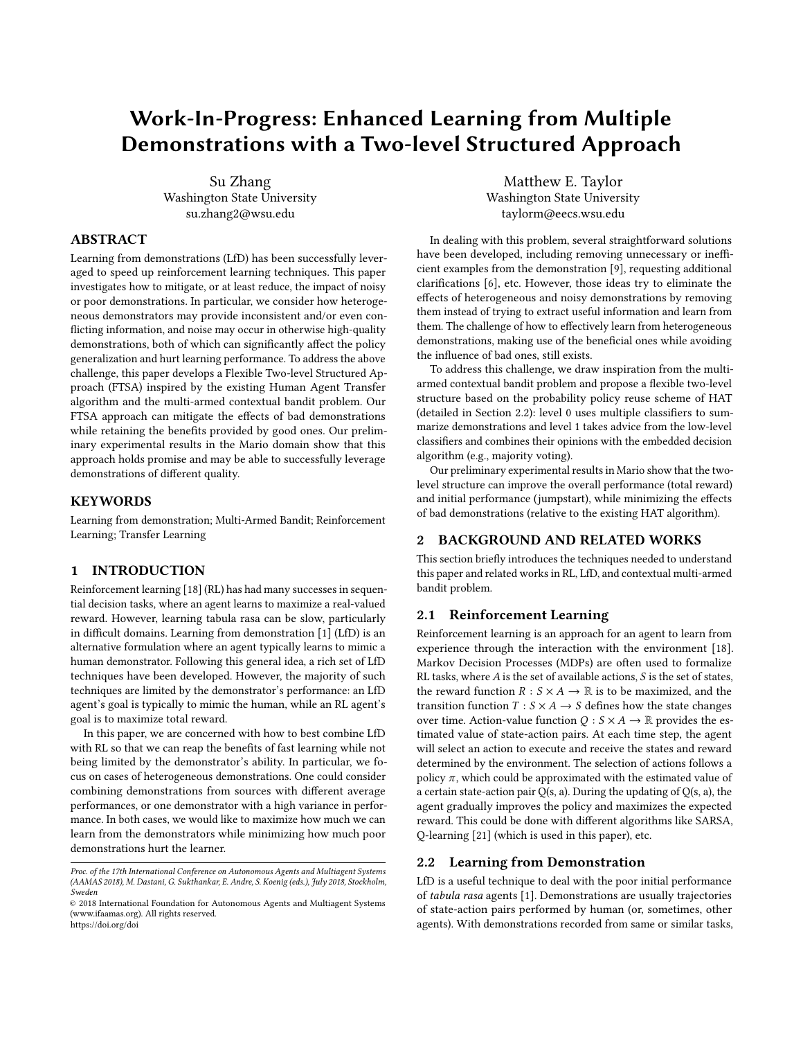<span id="page-3-0"></span>

Figure 2: With 10 good demos

<span id="page-3-1"></span>

Figure 3: With 10 good demos and 20 bad demos

of using EWA and the meta-classifier lie between. However, even with a low jumpstart, the performance of FTSA with all different methods could catch up with the performance of the HAT within 5,000 episodes.

Figure [3](#page-3-1) shows the performance of training an agent with the proposed approach using 10 good demonstrations and 20 bad demonstrations. With the blending of good and bad demonstrations, both HAT and FTSA with all the methods could outperform the baseline; the jumpstart of HAT is lower than the approach with EWA and majority vote but higher than FTSA with meta-classifier; the performance level of all the methods will converge to a similar level between 15,000 to 20,000 episodes.

From Figure [4,](#page-3-2) we could observe that, with 20 bad demonstrations, FTSA with majority vote and EWA could still provide some benefit to the jumpstart, while HAT and FTSA with meta-classifier could not. With the bad jumpstarts, the performance of HAT and FTSA with the meta-classifier could converge to a higher level than the baseline after 10,000 episodes, even though they could not benefit from the demonstrations at the beginning stage.

Table 1 shows the jumpstart and total reward of each method when experimenting with different blendings of demonstrations. The jumpstart is the subtraction of the initial reward of the baseline from the average initial reward of each method (the jumpstart of

<span id="page-3-2"></span>

Figure 4: With 20 bad demos

the baseline is defined as 0). From the table, we could tell that with the increasing amount of bad demonstrations, the jumpstart and total reward of HAT declines. However, our FTSA with EWA and Majority Vote have a robust performance on those two metrics. Also, note that FTSA with the Meta-classifier also seems more vulnerable to the bad demonstrations than FTSA embedding with the other two algorithms—this may be related to the selection of meta-classifier and other factors. We also conduct Welch's t-test on the experiment results. With  $p < 0.05$ , we can say that the FTSA with Majority Vote and FTSA with EWA could significantly outperform HAT when provided 10 good demonstrations and 20 bad demonstrations, as well as when provided 20 bad demonstrations.

According to the experimental results, this 2-level structure could efficiently capture the knowledge from multiple demonstrations. Embedded with different bandit algorithms, it could eliminate the effects of bad demonstrations better than the classical HAT approach and enable the agent to make better usage from the blending of demonstrations without the assumption of using good or expert level demonstrations.

### 5 CONCLUSION AND FUTURE WORK

In this paper, we introduced a Flexible Two-level Structured Approach (FTSA) to address the task of combining policies learned from multiple demonstrations with different quality. With the probabilistic policy reuse scheme and algorithms from multi-armed contextual bandit problems, this approach could summarize and then combine advice from different demonstrations. With the experimental results in the Mario domain, particularly in scenarios where there are bad demonstrations, this approach could outperform the HAT in both overall performance (learning curve), initial performance (jumpstart), and total reward. We can therefore conclude that this two-level structure enables the agent to benefit from multiple demonstrations efficiently while eliminating the effects of bad demonstrations.

To improve this idea, first we would like to conduct more experiments: Try embedding more different algorithms other than those mentioned in this paper, theoretically analyze the pros, cons and robustness of each algorithm; Evaluate this approach with different combinations of demonstrations (i.e., a skewed combination of 95 bad demonstrations and 5 good demonstrations); Adopt other LfD